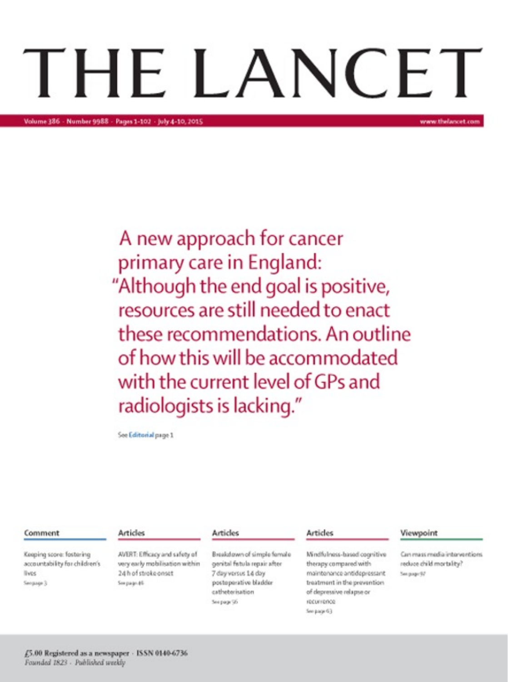# THE LANCET

A new approach for cancer primary care in England: "Although the end goal is positive, resources are still needed to enact these recommendations. An outline of how this will be accommodated with the current level of GPs and radiologists is lacking."

formed)

See Editorial page 1

| Comment                                                                                     | Articles                                                                                            | Articles                                                                                                                                       | <b>Articles</b>                                                                                                                                         |
|---------------------------------------------------------------------------------------------|-----------------------------------------------------------------------------------------------------|------------------------------------------------------------------------------------------------------------------------------------------------|---------------------------------------------------------------------------------------------------------------------------------------------------------|
| <b>Keeping score festering</b><br>accountability for children's<br><b>Boot</b><br>Senance 1 | 49/03/11/Westerwood substant<br>were easily medalization within<br>24h of stroke onest<br>Sworacati | Residence of simula familia<br>period fetals may after<br>7 days source 14 days<br>postpourative bladder<br>call when buildings<br>Sources St. | Wedlyleen hand-partice<br>thereon compared with<br>maintanance antidepressure<br>bustment in the prevention<br>of depressive relapse or<br>eleterateate |

#### Viewpoint

Can maximadia interventions Sellated Mid-states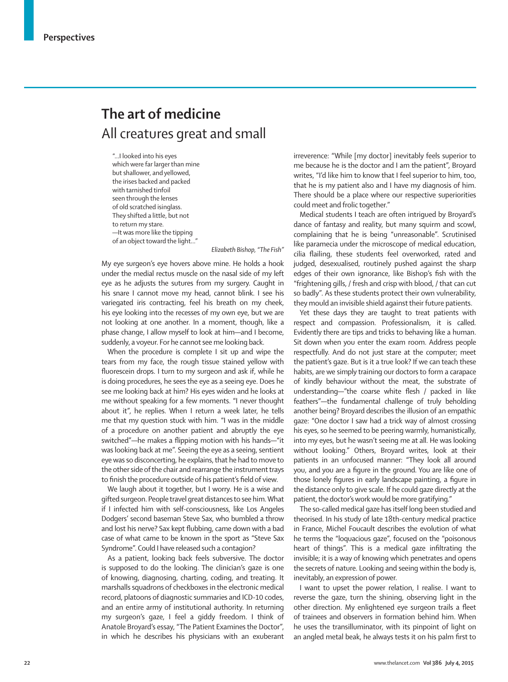## **The art of medicine** All creatures great and small

"…I looked into his eyes which were far larger than mine but shallower, and yellowed, the irises backed and packed with tarnished tinfoil seen through the lenses of old scratched isinglass. They shifted a little, but not to return my stare. —It was more like the tipping of an object toward the light…"

*Elizabeth Bishop, "The Fish"*

My eye surgeon's eye hovers above mine. He holds a hook under the medial rectus muscle on the nasal side of my left eye as he adjusts the sutures from my surgery. Caught in his snare I cannot move my head, cannot blink. I see his variegated iris contracting, feel his breath on my cheek, his eye looking into the recesses of my own eye, but we are not looking at one another. In a moment, though, like a phase change, I allow myself to look at him—and I become, suddenly, a voyeur. For he cannot see me looking back.

When the procedure is complete I sit up and wipe the tears from my face, the rough tissue stained yellow with fluorescein drops. I turn to my surgeon and ask if, while he is doing procedures, he sees the eye as a seeing eye. Does he see me looking back at him? His eyes widen and he looks at me without speaking for a few moments. "I never thought about it", he replies. When I return a week later, he tells me that my question stuck with him. "I was in the middle of a procedure on another patient and abruptly the eye switched"—he makes a flipping motion with his hands—"it was looking back at me". Seeing the eye as a seeing, sentient eye was so disconcerting, he explains, that he had to move to the other side of the chair and rearrange the instrument trays to finish the procedure outside of his patient's field of view.

We laugh about it together, but I worry. He is a wise and gifted surgeon. People travel great distances to see him. What if I infected him with self-consciousness, like Los Angeles Dodgers' second baseman Steve Sax, who bumbled a throw and lost his nerve? Sax kept flubbing, came down with a bad case of what came to be known in the sport as "Steve Sax Syndrome". Could I have released such a contagion?

As a patient, looking back feels subversive. The doctor is supposed to do the looking. The clinician's gaze is one of knowing, diagnosing, charting, coding, and treating. It marshalls squadrons of checkboxes in the electronic medical record, platoons of diagnostic summaries and ICD-10 codes, and an entire army of institutional authority. In returning my surgeon's gaze, I feel a giddy freedom. I think of Anatole Broyard's essay, "The Patient Examines the Doctor", in which he describes his physicians with an exuberant irreverence: "While [my doctor] inevitably feels superior to me because he is the doctor and I am the patient", Broyard writes, "I'd like him to know that I feel superior to him, too, that he is my patient also and I have my diagnosis of him. There should be a place where our respective superiorities could meet and frolic together."

Medical students I teach are often intrigued by Broyard's dance of fantasy and reality, but many squirm and scowl, complaining that he is being "unreasonable". Scrutinised like paramecia under the microscope of medical education, cilia flailing, these students feel overworked, rated and judged, desexualised, routinely pushed against the sharp edges of their own ignorance, like Bishop's fish with the "frightening gills, / fresh and crisp with blood, / that can cut so badly". As these students protect their own vulnerability, they mould an invisible shield against their future patients.

Yet these days they are taught to treat patients with respect and compassion. Professionalism, it is called. Evidently there are tips and tricks to behaving like a human. Sit down when you enter the exam room. Address people respectfully. And do not just stare at the computer; meet the patient's gaze. But is it a true look? If we can teach these habits, are we simply training our doctors to form a carapace of kindly behaviour without the meat, the substrate of understanding—"the coarse white flesh / packed in like feathers"—the fundamental challenge of truly beholding another being? Broyard describes the illusion of an empathic gaze: "One doctor I saw had a trick way of almost crossing his eyes, so he seemed to be peering warmly, humanistically, into my eyes, but he wasn't seeing me at all. He was looking without looking." Others, Broyard writes, look at their patients in an unfocused manner: "They look all around you, and you are a figure in the ground. You are like one of those lonely figures in early landscape painting, a figure in the distance only to give scale. If he could gaze directly at the patient, the doctor's work would be more gratifying."

The so-called medical gaze has itself long been studied and theorised. In his study of late 18th-century medical practice in France, Michel Foucault describes the evolution of what he terms the "loquacious gaze", focused on the "poisonous heart of things". This is a medical gaze infiltrating the invisible; it is a way of knowing which penetrates and opens the secrets of nature. Looking and seeing within the body is, inevitably, an expression of power.

I want to upset the power relation, I realise. I want to reverse the gaze, turn the shining, observing light in the other direction. My enlightened eye surgeon trails a fleet of trainees and observers in formation behind him. When he uses the transilluminator, with its pinpoint of light on an angled metal beak, he always tests it on his palm first to